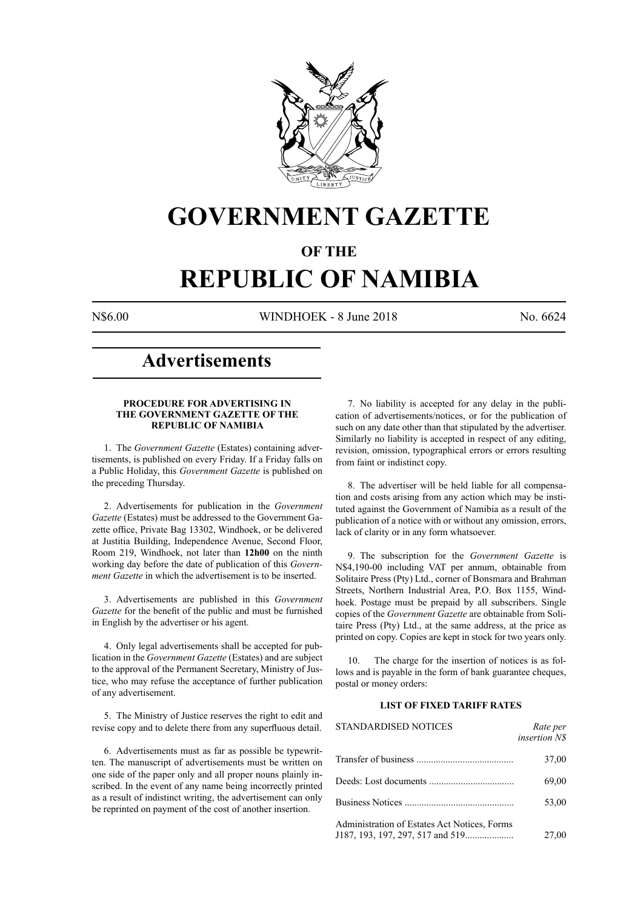

# **GOVERNMENT GAZETTE**

# **OF THE**

# **REPUBLIC OF NAMIBIA**

N\$6.00 WINDHOEK - 8 June 2018 No. 6624

# **Advertisements**

#### **PROCEDURE FOR ADVERTISING IN THE GOVERNMENT GAZETTE OF THE REPUBLIC OF NAMIBIA**

1. The *Government Gazette* (Estates) containing advertisements, is published on every Friday. If a Friday falls on a Public Holiday, this *Government Gazette* is published on the preceding Thursday.

2. Advertisements for publication in the *Government Gazette* (Estates) must be addressed to the Government Gazette office, Private Bag 13302, Windhoek, or be delivered at Justitia Building, Independence Avenue, Second Floor, Room 219, Windhoek, not later than **12h00** on the ninth working day before the date of publication of this *Government Gazette* in which the advertisement is to be inserted.

3. Advertisements are published in this *Government Gazette* for the benefit of the public and must be furnished in English by the advertiser or his agent.

4. Only legal advertisements shall be accepted for publication in the *Government Gazette* (Estates) and are subject to the approval of the Permanent Secretary, Ministry of Justice, who may refuse the acceptance of further publication of any advertisement.

5. The Ministry of Justice reserves the right to edit and revise copy and to delete there from any superfluous detail.

6. Advertisements must as far as possible be typewritten. The manuscript of advertisements must be written on one side of the paper only and all proper nouns plainly inscribed. In the event of any name being incorrectly printed as a result of indistinct writing, the advertisement can only be reprinted on payment of the cost of another insertion.

7. No liability is accepted for any delay in the publication of advertisements/notices, or for the publication of such on any date other than that stipulated by the advertiser. Similarly no liability is accepted in respect of any editing, revision, omission, typographical errors or errors resulting from faint or indistinct copy.

8. The advertiser will be held liable for all compensation and costs arising from any action which may be instituted against the Government of Namibia as a result of the publication of a notice with or without any omission, errors, lack of clarity or in any form whatsoever.

9. The subscription for the *Government Gazette* is N\$4,190-00 including VAT per annum, obtainable from Solitaire Press (Pty) Ltd., corner of Bonsmara and Brahman Streets, Northern Industrial Area, P.O. Box 1155, Windhoek. Postage must be prepaid by all subscribers. Single copies of the *Government Gazette* are obtainable from Solitaire Press (Pty) Ltd., at the same address, at the price as printed on copy. Copies are kept in stock for two years only.

10. The charge for the insertion of notices is as follows and is payable in the form of bank guarantee cheques, postal or money orders:

# **LIST OF FIXED TARIFF RATES**

| <b>STANDARDISED NOTICES</b>                  | Rate per<br><i>insertion NS</i> |
|----------------------------------------------|---------------------------------|
|                                              | 37,00                           |
|                                              | 69,00                           |
|                                              | 53,00                           |
| Administration of Estates Act Notices, Forms | 27,00                           |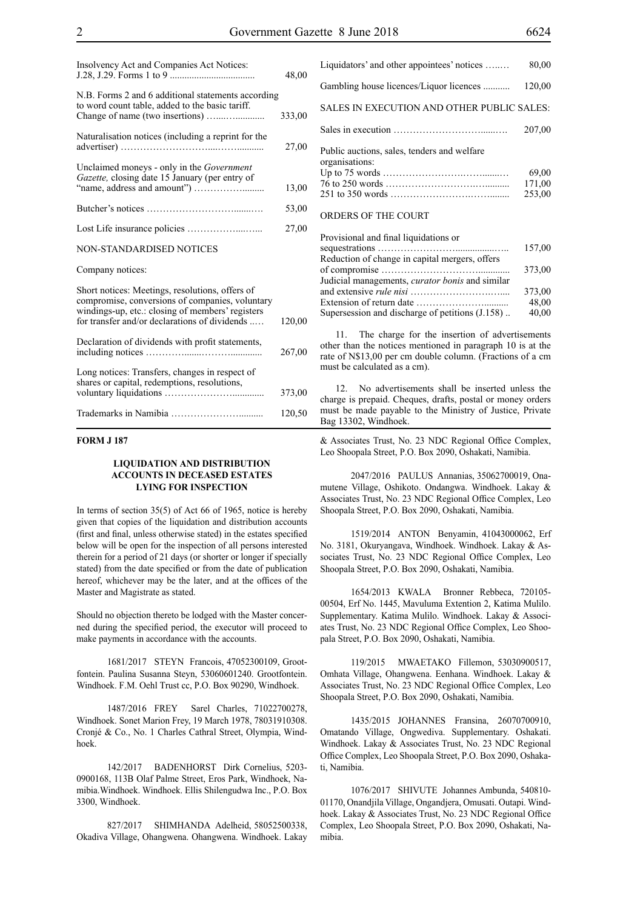| Insolvency Act and Companies Act Notices:                                                                                                                                                               | 48,00  |
|---------------------------------------------------------------------------------------------------------------------------------------------------------------------------------------------------------|--------|
| N.B. Forms 2 and 6 additional statements according<br>to word count table, added to the basic tariff.                                                                                                   | 333,00 |
| Naturalisation notices (including a reprint for the                                                                                                                                                     | 27,00  |
| Unclaimed moneys - only in the <i>Government</i><br>Gazette, closing date 15 January (per entry of                                                                                                      | 13,00  |
|                                                                                                                                                                                                         | 53,00  |
|                                                                                                                                                                                                         | 27,00  |
| NON-STANDARDISED NOTICES                                                                                                                                                                                |        |
| Company notices:                                                                                                                                                                                        |        |
| Short notices: Meetings, resolutions, offers of<br>compromise, conversions of companies, voluntary<br>windings-up, etc.: closing of members' registers<br>for transfer and/or declarations of dividends | 120,00 |
| Declaration of dividends with profit statements,                                                                                                                                                        | 267,00 |
| Long notices: Transfers, changes in respect of<br>shares or capital, redemptions, resolutions,                                                                                                          | 373,00 |
|                                                                                                                                                                                                         | 120,50 |

#### **FORM J 187**

#### **LIQUIDATION AND DISTRIBUTION ACCOUNTS IN DECEASED ESTATES LYING FOR INSPECTION**

In terms of section 35(5) of Act 66 of 1965, notice is hereby given that copies of the liquidation and distribution accounts (first and final, unless otherwise stated) in the estates specified below will be open for the inspection of all persons interested therein for a period of 21 days (or shorter or longer if specially stated) from the date specified or from the date of publication hereof, whichever may be the later, and at the offices of the Master and Magistrate as stated.

Should no objection thereto be lodged with the Master concerned during the specified period, the executor will proceed to make payments in accordance with the accounts.

1681/2017 STEYN Francois, 47052300109, Grootfontein. Paulina Susanna Steyn, 53060601240. Grootfontein. Windhoek. F.M. Oehl Trust cc, P.O. Box 90290, Windhoek.

1487/2016 FREY Sarel Charles, 71022700278, Windhoek. Sonet Marion Frey, 19 March 1978, 78031910308. Cronjé & Co., No. 1 Charles Cathral Street, Olympia, Windhoek.

142/2017 BADENHORST Dirk Cornelius, 5203- 0900168, 113B Olaf Palme Street, Eros Park, Windhoek, Namibia.Windhoek. Windhoek. Ellis Shilengudwa Inc., P.O. Box 3300, Windhoek.

827/2017 SHIMHANDA Adelheid, 58052500338, Okadiva Village, Ohangwena. Ohangwena. Windhoek. Lakay

| Liquidators' and other appointees' notices                    | 80,00  |
|---------------------------------------------------------------|--------|
| Gambling house licences/Liquor licences                       | 120,00 |
| SALES IN EXECUTION AND OTHER PUBLIC SALES:                    |        |
|                                                               | 207,00 |
| Public auctions, sales, tenders and welfare<br>organisations: |        |
|                                                               | 69,00  |
|                                                               | 171,00 |
|                                                               | 253.00 |
| ORDERS OF THE COURT                                           |        |

| Provisional and final liquidations or                  |        |
|--------------------------------------------------------|--------|
|                                                        | 157,00 |
| Reduction of change in capital mergers, offers         |        |
|                                                        | 373,00 |
| Judicial managements, <i>curator bonis</i> and similar |        |
|                                                        | 373,00 |
|                                                        | 48,00  |
| Supersession and discharge of petitions (J.158)        | 40,00  |

11. The charge for the insertion of advertisements other than the notices mentioned in paragraph 10 is at the rate of N\$13,00 per cm double column. (Fractions of a cm must be calculated as a cm).

12. No advertisements shall be inserted unless the charge is prepaid. Cheques, drafts, postal or money orders must be made payable to the Ministry of Justice, Private Bag 13302, Windhoek.

& Associates Trust, No. 23 NDC Regional Office Complex, Leo Shoopala Street, P.O. Box 2090, Oshakati, Namibia.

2047/2016 PAULUS Annanias, 35062700019, Onamutene Village, Oshikoto. Ondangwa. Windhoek. Lakay & Associates Trust, No. 23 NDC Regional Office Complex, Leo Shoopala Street, P.O. Box 2090, Oshakati, Namibia.

1519/2014 ANTON Benyamin, 41043000062, Erf No. 3181, Okuryangava, Windhoek. Windhoek. Lakay & Associates Trust, No. 23 NDC Regional Office Complex, Leo Shoopala Street, P.O. Box 2090, Oshakati, Namibia.

1654/2013 KWALA Bronner Rebbeca, 720105- 00504, Erf No. 1445, Mavuluma Extention 2, Katima Mulilo. Supplementary. Katima Mulilo. Windhoek. Lakay & Associates Trust, No. 23 NDC Regional Office Complex, Leo Shoopala Street, P.O. Box 2090, Oshakati, Namibia.

119/2015 MWAETAKO Fillemon, 53030900517, Omhata Village, Ohangwena. Eenhana. Windhoek. Lakay & Associates Trust, No. 23 NDC Regional Office Complex, Leo Shoopala Street, P.O. Box 2090, Oshakati, Namibia.

1435/2015 JOHANNES Fransina, 26070700910, Omatando Village, Ongwediva. Supplementary. Oshakati. Windhoek. Lakay & Associates Trust, No. 23 NDC Regional Office Complex, Leo Shoopala Street, P.O. Box 2090, Oshakati, Namibia.

1076/2017 SHIVUTE Johannes Ambunda, 540810- 01170, Onandjila Village, Ongandjera, Omusati. Outapi. Windhoek. Lakay & Associates Trust, No. 23 NDC Regional Office Complex, Leo Shoopala Street, P.O. Box 2090, Oshakati, Namibia.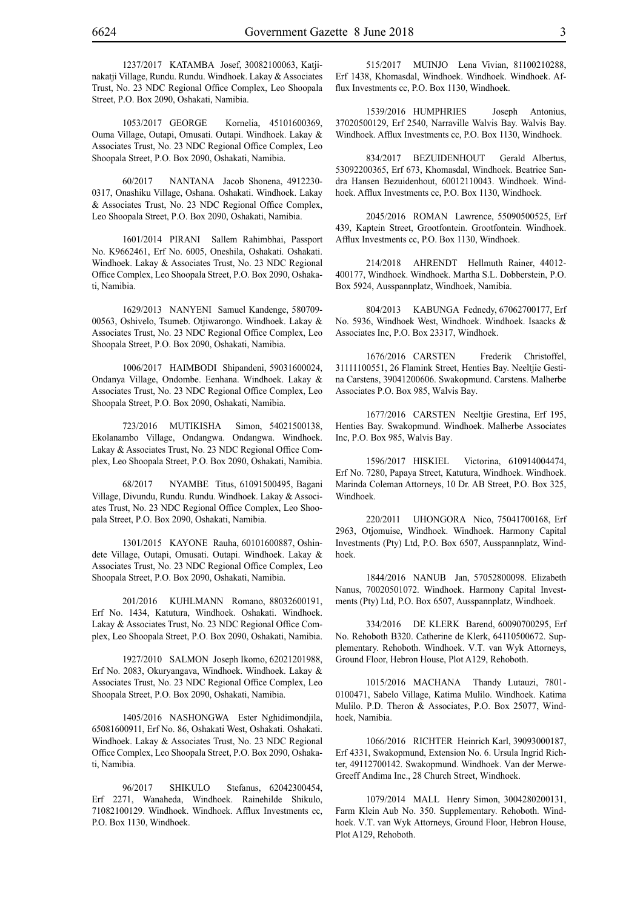1053/2017 GEORGE Kornelia, 45101600369, Ouma Village, Outapi, Omusati. Outapi. Windhoek. Lakay & Associates Trust, No. 23 NDC Regional Office Complex, Leo Shoopala Street, P.O. Box 2090, Oshakati, Namibia.

60/2017 NANTANA Jacob Shonena, 4912230- 0317, Onashiku Village, Oshana. Oshakati. Windhoek. Lakay & Associates Trust, No. 23 NDC Regional Office Complex, Leo Shoopala Street, P.O. Box 2090, Oshakati, Namibia.

1601/2014 PIRANI Sallem Rahimbhai, Passport No. K9662461, Erf No. 6005, Oneshila, Oshakati. Oshakati. Windhoek. Lakay & Associates Trust, No. 23 NDC Regional Office Complex, Leo Shoopala Street, P.O. Box 2090, Oshakati, Namibia.

1629/2013 nanyeni Samuel Kandenge, 580709- 00563, Oshivelo, Tsumeb. Otjiwarongo. Windhoek. Lakay & Associates Trust, No. 23 NDC Regional Office Complex, Leo Shoopala Street, P.O. Box 2090, Oshakati, Namibia.

1006/2017 HAIMBODI Shipandeni, 59031600024, Ondanya Village, Ondombe. Eenhana. Windhoek. Lakay & Associates Trust, No. 23 NDC Regional Office Complex, Leo Shoopala Street, P.O. Box 2090, Oshakati, Namibia.

723/2016 MUTIKISHA Simon, 54021500138, Ekolanambo Village, Ondangwa. Ondangwa. Windhoek. Lakay & Associates Trust, No. 23 NDC Regional Office Complex, Leo Shoopala Street, P.O. Box 2090, Oshakati, Namibia.

68/2017 NYAMBE Titus, 61091500495, Bagani Village, Divundu, Rundu. Rundu. Windhoek. Lakay & Associates Trust, No. 23 NDC Regional Office Complex, Leo Shoopala Street, P.O. Box 2090, Oshakati, Namibia.

1301/2015 kayone Rauha, 60101600887, Oshindete Village, Outapi, Omusati. Outapi. Windhoek. Lakay & Associates Trust, No. 23 NDC Regional Office Complex, Leo Shoopala Street, P.O. Box 2090, Oshakati, Namibia.

201/2016 KUHLMANN Romano, 88032600191, Erf No. 1434, Katutura, Windhoek. Oshakati. Windhoek. Lakay & Associates Trust, No. 23 NDC Regional Office Complex, Leo Shoopala Street, P.O. Box 2090, Oshakati, Namibia.

1927/2010 SALMON Joseph Ikomo, 62021201988, Erf No. 2083, Okuryangava, Windhoek. Windhoek. Lakay & Associates Trust, No. 23 NDC Regional Office Complex, Leo Shoopala Street, P.O. Box 2090, Oshakati, Namibia.

1405/2016 nashongwa Ester Nghidimondjila, 65081600911, Erf No. 86, Oshakati West, Oshakati. Oshakati. Windhoek. Lakay & Associates Trust, No. 23 NDC Regional Office Complex, Leo Shoopala Street, P.O. Box 2090, Oshakati, Namibia.

96/2017 SHIKULO Stefanus, 62042300454, Erf 2271, Wanaheda, Windhoek. Rainehilde Shikulo, 71082100129. Windhoek. Windhoek. Afflux Investments cc, P.O. Box 1130, Windhoek.

515/2017 MUINJO Lena Vivian, 81100210288, Erf 1438, Khomasdal, Windhoek. Windhoek. Windhoek. Afflux Investments cc, P.O. Box 1130, Windhoek.

1539/2016 HUMPHRIES Joseph Antonius, 37020500129, Erf 2540, Narraville Walvis Bay. Walvis Bay. Windhoek. Afflux Investments cc, P.O. Box 1130, Windhoek.

834/2017 BEZUIDENHOUT Gerald Albertus, 53092200365, Erf 673, Khomasdal, Windhoek. Beatrice Sandra Hansen Bezuidenhout, 60012110043. Windhoek. Windhoek. Afflux Investments cc, P.O. Box 1130, Windhoek.

2045/2016 ROMAN Lawrence, 55090500525, Erf 439, Kaptein Street, Grootfontein. Grootfontein. Windhoek. Afflux Investments cc, P.O. Box 1130, Windhoek.

214/2018 AHRENDT Hellmuth Rainer, 44012- 400177, Windhoek. Windhoek. Martha S.L. Dobberstein, P.O. Box 5924, Ausspannplatz, Windhoek, Namibia.

804/2013 kabunga Fednedy, 67062700177, Erf No. 5936, Windhoek West, Windhoek. Windhoek. Isaacks & Associates Inc, P.O. Box 23317, Windhoek.

1676/2016 CARSTEN Frederik Christoffel, 31111100551, 26 Flamink Street, Henties Bay. Neeltjie Gestina Carstens, 39041200606. Swakopmund. Carstens. Malherbe Associates P.O. Box 985, Walvis Bay.

1677/2016 CARSTEN Neeltjie Grestina, Erf 195, Henties Bay. Swakopmund. Windhoek. Malherbe Associates Inc, P.O. Box 985, Walvis Bay.

1596/2017 HISKIEL Victorina, 610914004474, Erf No. 7280, Papaya Street, Katutura, Windhoek. Windhoek. Marinda Coleman Attorneys, 10 Dr. AB Street, P.O. Box 325, Windhoek.

220/2011 UHONGORA Nico, 75041700168, Erf 2963, Otjomuise, Windhoek. Windhoek. Harmony Capital Investments (Pty) Ltd, P.O. Box 6507, Ausspannplatz, Windhoek.

1844/2016 NANUB Jan, 57052800098. Elizabeth Nanus, 70020501072. Windhoek. Harmony Capital Investments (Pty) Ltd, P.O. Box 6507, Ausspannplatz, Windhoek.

334/2016 DE KLERK Barend, 60090700295, Erf No. Rehoboth B320. Catherine de Klerk, 64110500672. Supplementary. Rehoboth. Windhoek. V.T. van Wyk Attorneys, Ground Floor, Hebron House, Plot A129, Rehoboth.

1015/2016 MACHANA Thandy Lutauzi, 7801- 0100471, Sabelo Village, Katima Mulilo. Windhoek. Katima Mulilo. P.D. Theron & Associates, P.O. Box 25077, Windhoek, Namibia.

1066/2016 RICHTER Heinrich Karl, 39093000187, Erf 4331, Swakopmund, Extension No. 6. Ursula Ingrid Richter, 49112700142. Swakopmund. Windhoek. Van der Merwe-Greeff Andima Inc., 28 Church Street, Windhoek.

1079/2014 MALL Henry Simon, 3004280200131, Farm Klein Aub No. 350. Supplementary. Rehoboth. Windhoek. V.T. van Wyk Attorneys, Ground Floor, Hebron House, Plot A129, Rehoboth.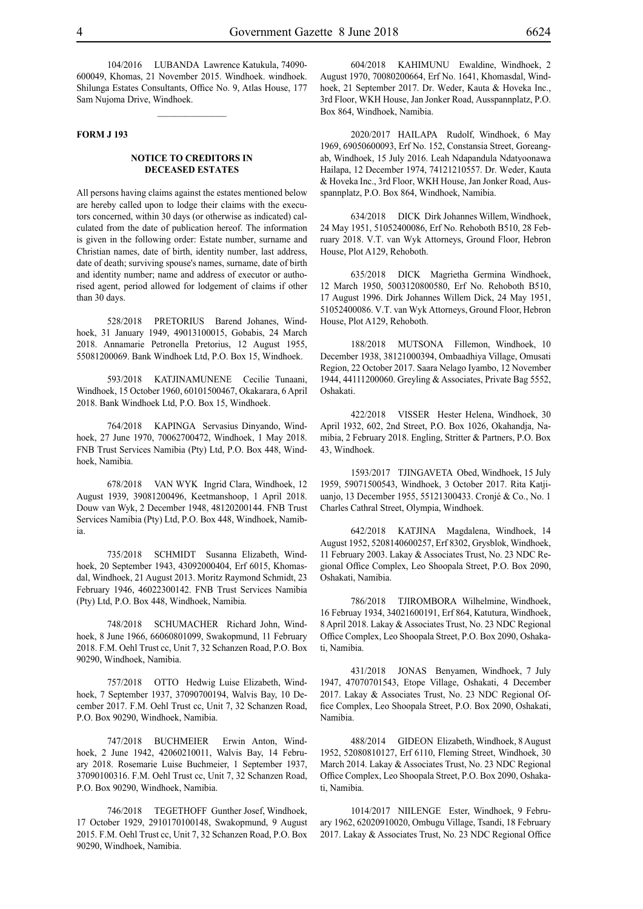104/2016 LUBANDA Lawrence Katukula, 74090- 600049, Khomas, 21 November 2015. Windhoek. windhoek. Shilunga Estates Consultants, Office No. 9, Atlas House, 177 Sam Nujoma Drive, Windhoek.

#### **FORM J 193**

#### **NOTICE TO CREDITORS IN DECEASED ESTATES**

All persons having claims against the estates mentioned below are hereby called upon to lodge their claims with the executors concerned, within 30 days (or otherwise as indicated) calculated from the date of publication hereof. The information is given in the following order: Estate number, surname and Christian names, date of birth, identity number, last address, date of death; surviving spouse's names, surname, date of birth and identity number; name and address of executor or authorised agent, period allowed for lodgement of claims if other than 30 days.

528/2018 PRETORIUS Barend Johanes, Windhoek, 31 January 1949, 49013100015, Gobabis, 24 March 2018. Annamarie Petronella Pretorius, 12 August 1955, 55081200069. Bank Windhoek Ltd, P.O. Box 15, Windhoek.

593/2018 KATJINAMUNENE Cecilie Tunaani, Windhoek, 15 October 1960, 60101500467, Okakarara, 6 April 2018. Bank Windhoek Ltd, P.O. Box 15, Windhoek.

764/2018 KAPINGA Servasius Dinyando, Windhoek, 27 June 1970, 70062700472, Windhoek, 1 May 2018. FNB Trust Services Namibia (Pty) Ltd, P.O. Box 448, Windhoek, Namibia.

678/2018 VAN WYK Ingrid Clara, Windhoek, 12 August 1939, 39081200496, Keetmanshoop, 1 April 2018. Douw van Wyk, 2 December 1948, 48120200144. FNB Trust Services Namibia (Pty) Ltd, P.O. Box 448, Windhoek, Namibia.

735/2018 SCHMIDT Susanna Elizabeth, Windhoek, 20 September 1943, 43092000404, Erf 6015, Khomasdal, Windhoek, 21 August 2013. Moritz Raymond Schmidt, 23 February 1946, 46022300142. FNB Trust Services Namibia (Pty) Ltd, P.O. Box 448, Windhoek, Namibia.

748/2018 SCHUMACHER Richard John, Windhoek, 8 June 1966, 66060801099, Swakopmund, 11 February 2018. F.M. Oehl Trust cc, Unit 7, 32 Schanzen Road, P.O. Box 90290, Windhoek, Namibia.

757/2018 OTTO Hedwig Luise Elizabeth, Windhoek, 7 September 1937, 37090700194, Walvis Bay, 10 December 2017. F.M. Oehl Trust cc, Unit 7, 32 Schanzen Road, P.O. Box 90290, Windhoek, Namibia.

747/2018 BUCHMEIER Erwin Anton, Windhoek, 2 June 1942, 42060210011, Walvis Bay, 14 February 2018. Rosemarie Luise Buchmeier, 1 September 1937, 37090100316. F.M. Oehl Trust cc, Unit 7, 32 Schanzen Road, P.O. Box 90290, Windhoek, Namibia.

746/2018 TEGETHOFF Gunther Josef, Windhoek, 17 October 1929, 2910170100148, Swakopmund, 9 August 2015. F.M. Oehl Trust cc, Unit 7, 32 Schanzen Road, P.O. Box 90290, Windhoek, Namibia.

604/2018 KAHIMUNU Ewaldine, Windhoek, 2 August 1970, 70080200664, Erf No. 1641, Khomasdal, Windhoek, 21 September 2017. Dr. Weder, Kauta & Hoveka Inc., 3rd Floor, WKH House, Jan Jonker Road, Ausspannplatz, P.O. Box 864, Windhoek, Namibia.

2020/2017 HAILAPA Rudolf, Windhoek, 6 May 1969, 69050600093, Erf No. 152, Constansia Street, Goreangab, Windhoek, 15 July 2016. Leah Ndapandula Ndatyoonawa Hailapa, 12 December 1974, 74121210557. Dr. Weder, Kauta & Hoveka Inc., 3rd Floor, WKH House, Jan Jonker Road, Ausspannplatz, P.O. Box 864, Windhoek, Namibia.

634/2018 DICK Dirk Johannes Willem, Windhoek, 24 May 1951, 51052400086, Erf No. Rehoboth B510, 28 February 2018. V.T. van Wyk Attorneys, Ground Floor, Hebron House, Plot A129, Rehoboth.

635/2018 DICK Magrietha Germina Windhoek, 12 March 1950, 5003120800580, Erf No. Rehoboth B510, 17 August 1996. Dirk Johannes Willem Dick, 24 May 1951, 51052400086. V.T. van Wyk Attorneys, Ground Floor, Hebron House, Plot A129, Rehoboth.

188/2018 MUTSONA Fillemon, Windhoek, 10 December 1938, 38121000394, Ombaadhiya Village, Omusati Region, 22 October 2017. Saara Nelago Iyambo, 12 November 1944, 44111200060. Greyling & Associates, Private Bag 5552, Oshakati.

422/2018 VISSER Hester Helena, Windhoek, 30 April 1932, 602, 2nd Street, P.O. Box 1026, Okahandja, Namibia, 2 February 2018. Engling, Stritter & Partners, P.O. Box 43, Windhoek.

1593/2017 TJINGAVETA Obed, Windhoek, 15 July 1959, 59071500543, Windhoek, 3 October 2017. Rita Katjiuanjo, 13 December 1955, 55121300433. Cronjé & Co., No. 1 Charles Cathral Street, Olympia, Windhoek.

642/2018 KATJINA Magdalena, Windhoek, 14 August 1952, 5208140600257, Erf 8302, Grysblok, Windhoek, 11 February 2003. Lakay & Associates Trust, No. 23 NDC Regional Office Complex, Leo Shoopala Street, P.O. Box 2090, Oshakati, Namibia.

786/2018 TJIROMBORA Wilhelmine, Windhoek, 16 Februay 1934, 34021600191, Erf 864, Katutura, Windhoek, 8 April 2018. Lakay & Associates Trust, No. 23 NDC Regional Office Complex, Leo Shoopala Street, P.O. Box 2090, Oshakati, Namibia.

431/2018 JONAS Benyamen, Windhoek, 7 July 1947, 47070701543, Etope Village, Oshakati, 4 December 2017. Lakay & Associates Trust, No. 23 NDC Regional Office Complex, Leo Shoopala Street, P.O. Box 2090, Oshakati, Namibia.

488/2014 GIDEON Elizabeth, Windhoek, 8 August 1952, 52080810127, Erf 6110, Fleming Street, Windhoek, 30 March 2014. Lakay & Associates Trust, No. 23 NDC Regional Office Complex, Leo Shoopala Street, P.O. Box 2090, Oshakati, Namibia.

1014/2017 NIILENGE Ester, Windhoek, 9 February 1962, 62020910020, Ombugu Village, Tsandi, 18 February 2017. Lakay & Associates Trust, No. 23 NDC Regional Office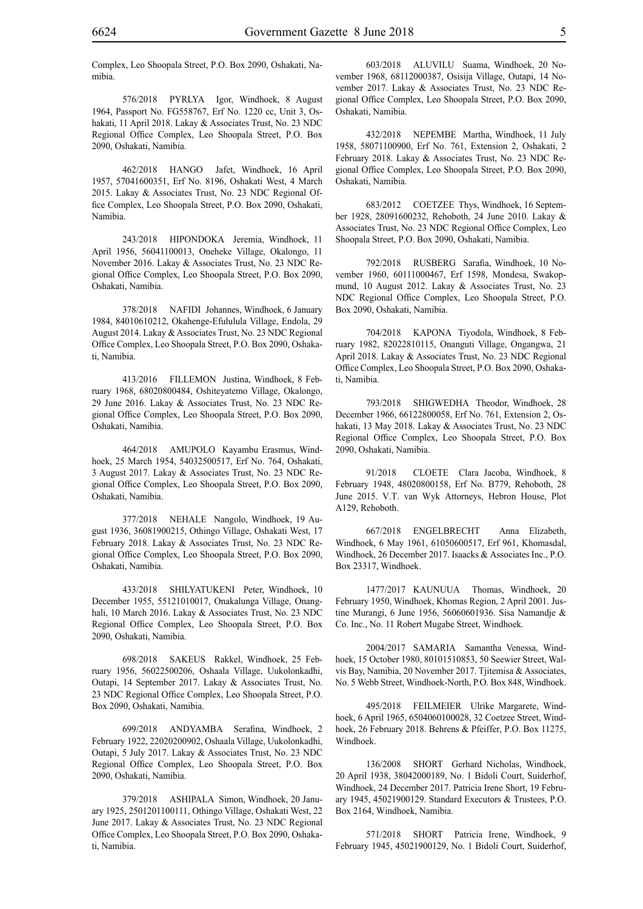Complex, Leo Shoopala Street, P.O. Box 2090, Oshakati, Namibia.

576/2018 PYRLYA Igor, Windhoek, 8 August 1964, Passport No. FG558767, Erf No. 1220 cc, Unit 3, Oshakati, 11 April 2018. Lakay & Associates Trust, No. 23 NDC Regional Office Complex, Leo Shoopala Street, P.O. Box 2090, Oshakati, Namibia.

462/2018 HANGO Jafet, Windhoek, 16 April 1957, 57041600351, Erf No. 8196, Oshakati West, 4 March 2015. Lakay & Associates Trust, No. 23 NDC Regional Office Complex, Leo Shoopala Street, P.O. Box 2090, Oshakati, Namibia.

243/2018 HIPONDOKA Jeremia, Windhoek, 11 April 1956, 56041100013, Oneheke Village, Okalongo, 11 November 2016. Lakay & Associates Trust, No. 23 NDC Regional Office Complex, Leo Shoopala Street, P.O. Box 2090, Oshakati, Namibia.

378/2018 NAFIDI Johannes, Windhoek, 6 January 1984, 84010610212, Okahenge-Efululula Village, Endola, 29 August 2014. Lakay & Associates Trust, No. 23 NDC Regional Office Complex, Leo Shoopala Street, P.O. Box 2090, Oshakati, Namibia.

413/2016 FILLEMON Justina, Windhoek, 8 February 1968, 68020800484, Oshiteyatemo Village, Okalongo, 29 June 2016. Lakay & Associates Trust, No. 23 NDC Regional Office Complex, Leo Shoopala Street, P.O. Box 2090, Oshakati, Namibia.

464/2018 AMUPOLO Kayambu Erasmus, Windhoek, 25 March 1954, 54032500517, Erf No. 764, Oshakati, 3 August 2017. Lakay & Associates Trust, No. 23 NDC Regional Office Complex, Leo Shoopala Street, P.O. Box 2090, Oshakati, Namibia.

377/2018 NEHALE Nangolo, Windhoek, 19 August 1936, 36081900215, Othingo Village, Oshakati West, 17 February 2018. Lakay & Associates Trust, No. 23 NDC Regional Office Complex, Leo Shoopala Street, P.O. Box 2090, Oshakati, Namibia.

433/2018 SHILYATUKENI Peter, Windhoek, 10 December 1955, 55121010017, Onakalunga Village, Onanghali, 10 March 2016. Lakay & Associates Trust, No. 23 NDC Regional Office Complex, Leo Shoopala Street, P.O. Box 2090, Oshakati, Namibia.

698/2018 SAKEUS Rakkel, Windhoek, 25 February 1956, 56022500206, Oshaala Village, Uukolonkadhi, Outapi, 14 September 2017. Lakay & Associates Trust, No. 23 NDC Regional Office Complex, Leo Shoopala Street, P.O. Box 2090, Oshakati, Namibia.

699/2018 ANDYAMBA Serafina, Windhoek, 2 February 1922, 22020200902, Oshaala Village, Uukolonkadhi, Outapi, 5 July 2017. Lakay & Associates Trust, No. 23 NDC Regional Office Complex, Leo Shoopala Street, P.O. Box 2090, Oshakati, Namibia.

379/2018 ASHIPALA Simon, Windhoek, 20 January 1925, 2501201100111, Othingo Village, Oshakati West, 22 June 2017. Lakay & Associates Trust, No. 23 NDC Regional Office Complex, Leo Shoopala Street, P.O. Box 2090, Oshakati, Namibia.

603/2018 ALUVILU Suama, Windhoek, 20 November 1968, 68112000387, Osisija Village, Outapi, 14 November 2017. Lakay & Associates Trust, No. 23 NDC Regional Office Complex, Leo Shoopala Street, P.O. Box 2090, Oshakati, Namibia.

432/2018 NEPEMBE Martha, Windhoek, 11 July 1958, 58071100900, Erf No. 761, Extension 2, Oshakati, 2 February 2018. Lakay & Associates Trust, No. 23 NDC Regional Office Complex, Leo Shoopala Street, P.O. Box 2090, Oshakati, Namibia.

683/2012 COETZEE Thys, Windhoek, 16 September 1928, 28091600232, Rehoboth, 24 June 2010. Lakay & Associates Trust, No. 23 NDC Regional Office Complex, Leo Shoopala Street, P.O. Box 2090, Oshakati, Namibia.

792/2018 RUSBERG Sarafia, Windhoek, 10 November 1960, 60111000467, Erf 1598, Mondesa, Swakopmund, 10 August 2012. Lakay & Associates Trust, No. 23 NDC Regional Office Complex, Leo Shoopala Street, P.O. Box 2090, Oshakati, Namibia.

704/2018 KAPONA Tiyodola, Windhoek, 8 February 1982, 82022810115, Onanguti Village, Ongangwa, 21 April 2018. Lakay & Associates Trust, No. 23 NDC Regional Office Complex, Leo Shoopala Street, P.O. Box 2090, Oshakati, Namibia.

793/2018 SHIGWEDHA Theodor, Windhoek, 28 December 1966, 66122800058, Erf No. 761, Extension 2, Oshakati, 13 May 2018. Lakay & Associates Trust, No. 23 NDC Regional Office Complex, Leo Shoopala Street, P.O. Box 2090, Oshakati, Namibia.

91/2018 CLOETE Clara Jacoba, Windhoek, 8 February 1948, 48020800158, Erf No. B779, Rehoboth, 28 June 2015. V.T. van Wyk Attorneys, Hebron House, Plot A129, Rehoboth.

667/2018 ENGELBRECHT Anna Elizabeth, Windhoek, 6 May 1961, 61050600517, Erf 961, Khomasdal, Windhoek, 26 December 2017. Isaacks & Associates Inc., P.O. Box 23317, Windhoek.

1477/2017 KAUNUUA Thomas, Windhoek, 20 February 1950, Windhoek, Khomas Region, 2 April 2001. Justine Murangi, 6 June 1956, 56060601936. Sisa Namandje & Co. Inc., No. 11 Robert Mugabe Street, Windhoek.

2004/2017 SAMARIA Samantha Venessa, Windhoek, 15 October 1980, 80101510853, 50 Seewier Street, Walvis Bay, Namibia, 20 November 2017. Tjitemisa & Associates, No. 5 Webb Street, Windhoek-North, P.O. Box 848, Windhoek.

495/2018 FEILMEIER Ulrike Margarete, Windhoek, 6 April 1965, 6504060100028, 32 Coetzee Street, Windhoek, 26 February 2018. Behrens & Pfeiffer, P.O. Box 11275, Windhoek.

136/2008 SHORT Gerhard Nicholas, Windhoek, 20 April 1938, 38042000189, No. 1 Bidoli Court, Suiderhof, Windhoek, 24 December 2017. Patricia Irene Short, 19 February 1945, 45021900129. Standard Executors & Trustees, P.O. Box 2164, Windhoek, Namibia.

571/2018 SHORT Patricia Irene, Windhoek, 9 February 1945, 45021900129, No. 1 Bidoli Court, Suiderhof,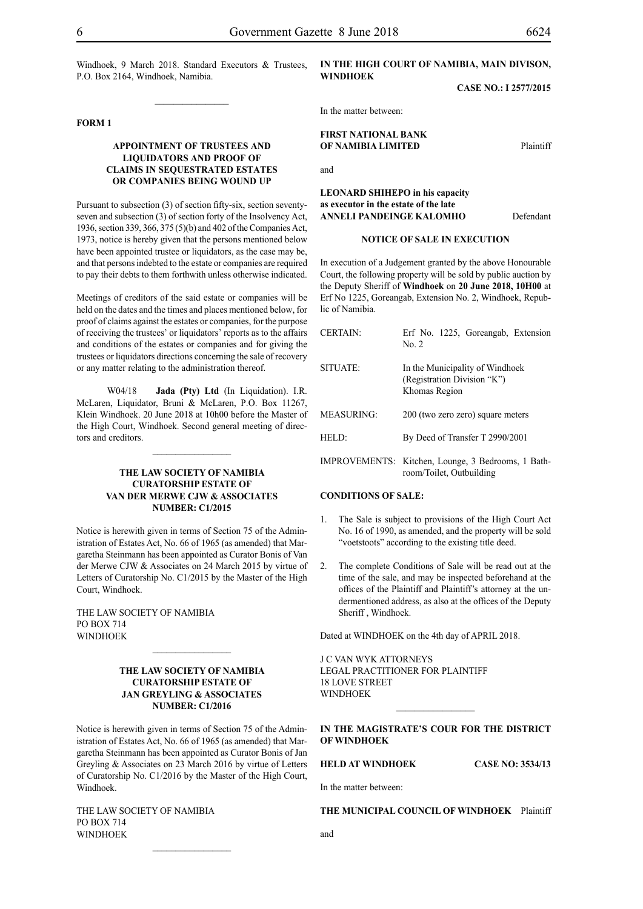P.O. Box 2164, Windhoek, Namibia.

 $\frac{1}{2}$ 

# **FORM 1**

## **APPOINTMENT OF TRUSTEES AND LIQUIDATORS AND PROOF OF CLAIMS IN SEQUESTRATED ESTATES OR COMPANIES BEING WOUND UP**

Pursuant to subsection (3) of section fifty-six, section seventyseven and subsection (3) of section forty of the Insolvency Act, 1936, section 339, 366, 375 (5)(b) and 402 of the Companies Act, 1973, notice is hereby given that the persons mentioned below have been appointed trustee or liquidators, as the case may be, and that persons indebted to the estate or companies are required to pay their debts to them forthwith unless otherwise indicated.

Meetings of creditors of the said estate or companies will be held on the dates and the times and places mentioned below, for proof of claims against the estates or companies, for the purpose of receiving the trustees' or liquidators' reports as to the affairs and conditions of the estates or companies and for giving the trustees or liquidators directions concerning the sale of recovery or any matter relating to the administration thereof.

W04/18 **Jada (Pty) Ltd** (In Liquidation). I.R. McLaren, Liquidator, Bruni & McLaren, P.O. Box 11267, Klein Windhoek. 20 June 2018 at 10h00 before the Master of the High Court, Windhoek. Second general meeting of directors and creditors.

 $\frac{1}{2}$ 

#### **THE LAW SOCIETY OF NAMIBIA CURATORSHIP ESTATE OF VAN DER MERWE CJW & ASSOCIATES NUMBER: C1/2015**

Notice is herewith given in terms of Section 75 of the Administration of Estates Act, No. 66 of 1965 (as amended) that Margaretha Steinmann has been appointed as Curator Bonis of Van der Merwe CJW & Associates on 24 March 2015 by virtue of Letters of Curatorship No. C1/2015 by the Master of the High Court, Windhoek.

THE LAW SOCIETY OF NAMIBIA PO BOX 714 WINDHOEK

#### **THE LAW SOCIETY OF NAMIBIA CURATORSHIP ESTATE OF JAN GREYLING & ASSOCIATES NUMBER: C1/2016**

 $\mathcal{L}_\text{max}$ 

Notice is herewith given in terms of Section 75 of the Administration of Estates Act, No. 66 of 1965 (as amended) that Margaretha Steinmann has been appointed as Curator Bonis of Jan Greyling & Associates on 23 March 2016 by virtue of Letters of Curatorship No. C1/2016 by the Master of the High Court, Windhoek.

 $\frac{1}{2}$ 

THE LAW SOCIETY OF NAMIBIA PO BOX 714 WINDHOEK

#### Windhoek, 9 March 2018. Standard Executors & Trustees, **IN THE HIGH COURT OF NAMIBIA, MAIN DIVISON, WINDHOEK**

**CASE NO.: I 2577/2015**

In the matter between:

#### **FIRST NATIONAL BANK OF NAMIBIA LIMITED** Plaintiff

#### **LEONARD SHIHEPO in his capacity as executor in the estate of the late ANNELI PANDEINGE KALOMHO** Defendant

#### **NOTICE OF SALE IN EXECUTION**

In execution of a Judgement granted by the above Honourable Court, the following property will be sold by public auction by the Deputy Sheriff of **Windhoek** on **20 June 2018, 10H00** at Erf No 1225, Goreangab, Extension No. 2, Windhoek, Republic of Namibia.

| <b>CERTAIN:</b> | Erf No. 1225, Goreangab, Extension<br>No. 2                                     |
|-----------------|---------------------------------------------------------------------------------|
| SITUATE:        | In the Municipality of Windhoek<br>(Registration Division "K")<br>Khomas Region |
| MEASURING:      | 200 (two zero zero) square meters                                               |
| HELD:           | By Deed of Transfer T 2990/2001                                                 |
|                 | IMPROVEMENTS: Kitchen, Lounge, 3 Bedrooms, 1 Bath-<br>room/Toilet, Outbuilding  |

#### **CONDITIONS OF SALE:**

- 1. The Sale is subject to provisions of the High Court Act No. 16 of 1990, as amended, and the property will be sold "voetstoots" according to the existing title deed.
- 2. The complete Conditions of Sale will be read out at the time of the sale, and may be inspected beforehand at the offices of the Plaintiff and Plaintiff's attorney at the undermentioned address, as also at the offices of the Deputy Sheriff , Windhoek.

Dated at WINDHOEK on the 4th day of APRIL 2018.

J C VAN WYK ATTORNEYS Legal Practitioner for Plaintiff 18 LOVE STREET WINDHOEK

#### **IN THE MAGISTRATE'S COUR FOR THE DISTRICT OF WINDHOEK**

 $\frac{1}{2}$ 

**HELD AT WINDHOEK CASE NO: 3534/13**

In the matter between:

**THE MUNICIPAL COUNCIL OF WINDHOEK** Plaintiff

and

and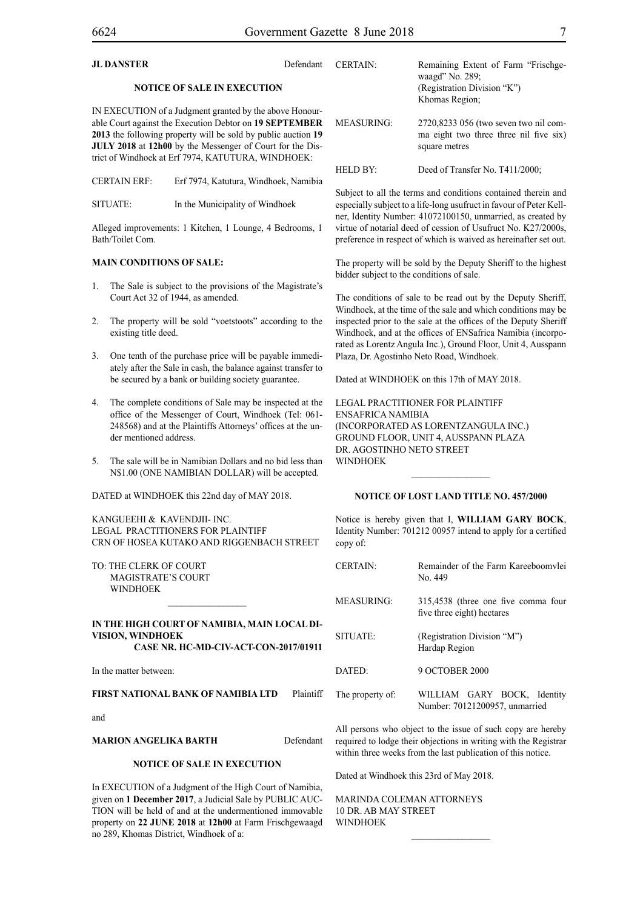# **JL DANSTER** Defendant

#### **NOTICE OF SALE IN EXECUTION**

IN EXECUTION of a Judgment granted by the above Honourable Court against the Execution Debtor on **19 SEPTEMBER 2013** the following property will be sold by public auction **19 JULY 2018** at **12h00** by the Messenger of Court for the District of Windhoek at Erf 7974, KATUTURA, WINDHOEK:

CERTAIN ERF: Erf 7974, Katutura, Windhoek, Namibia

SITUATE: In the Municipality of Windhoek

Alleged improvements: 1 Kitchen, 1 Lounge, 4 Bedrooms, 1 Bath/Toilet Com.

#### **MAIN CONDITIONS OF SALE:**

- 1. The Sale is subject to the provisions of the Magistrate's Court Act 32 of 1944, as amended.
- 2. The property will be sold "voetstoots" according to the existing title deed.
- 3. One tenth of the purchase price will be payable immediately after the Sale in cash, the balance against transfer to be secured by a bank or building society guarantee.
- 4. The complete conditions of Sale may be inspected at the office of the Messenger of Court, Windhoek (Tel: 061- 248568) and at the Plaintiffs Attorneys' offices at the under mentioned address.
- 5. The sale will be in Namibian Dollars and no bid less than N\$1.00 (ONE NAMIBIAN DOLLAR) will be accepted.

DATED at WINDHOEK this 22nd day of MAY 2018.

KANGUEEHI & KAVENDJII- INC. Legal Practitioners for Plaintiff crn of Hosea Kutako and Riggenbach STREET

TO: THE CLERK OF COURT MAGISTRATE'S COURT WINDHOEK

#### **IN THE HIGH COURT OF NAMIBIA, MAIN LOCAL DI-VISION, WINDHOEK Case Nr. HC-MD-CIV-ACT-CON-2017/01911**

 $\frac{1}{2}$ 

In the matter between:

#### **FIRST NATIONAL BANK OF NAMIBIA LTD** Plaintiff

and

#### **MARION ANGELIKA BARTH Defendant**

# **NOTICE OF SALE IN EXECUTION**

In EXECUTION of a Judgment of the High Court of Namibia, given on **1 December 2017**, a Judicial Sale by PUBLIC AUC-TION will be held of and at the undermentioned immovable property on **22 JUNE 2018** at **12h00** at Farm Frischgewaagd no 289, Khomas District, Windhoek of a:

| <b>CERTAIN:</b> | Remaining Extent of Farm "Frischge-<br>waagd" No. 289;<br>(Registration Division "K")<br>Khomas Region; |
|-----------------|---------------------------------------------------------------------------------------------------------|
| MEASURING:      | 2720,8233 056 (two seven two nil com-<br>ma eight two three three nil five six)<br>square metres        |
| HELD BY:        | Deed of Transfer No. T411/2000;                                                                         |

Subject to all the terms and conditions contained therein and especially subject to a life-long usufruct in favour of Peter Kellner, Identity Number: 41072100150, unmarried, as created by virtue of notarial deed of cession of Usufruct No. K27/2000s, preference in respect of which is waived as hereinafter set out.

The property will be sold by the Deputy Sheriff to the highest bidder subject to the conditions of sale.

The conditions of sale to be read out by the Deputy Sheriff, Windhoek, at the time of the sale and which conditions may be inspected prior to the sale at the offices of the Deputy Sheriff Windhoek, and at the offices of ENSafrica Namibia (incorporated as Lorentz Angula Inc.), Ground Floor, Unit 4, Ausspann Plaza, Dr. Agostinho Neto Road, Windhoek.

Dated at WINDHOEK on this 17th of MAY 2018.

Legal Practitioner for Plaintiff ENSafrica Namibia (incorporated as LorentzAngula Inc.) Ground Floor, Unit 4, Ausspann Plaza Dr. Agostinho Neto Street WINDHOEK

#### **NOTICE OF LOST LAND TITLE NO. 457/2000**

 $\frac{1}{2}$ 

Notice is hereby given that I, **WILLIAM GARY BOCK**, Identity Number: 701212 00957 intend to apply for a certified copy of:

| <b>CERTAIN:</b>   | Remainder of the Farm Kareeboomvlei<br>No. 449                    |
|-------------------|-------------------------------------------------------------------|
| <b>MEASURING:</b> | 315,4538 (three one five comma four<br>five three eight) hectares |
| SITUATE:          | (Registration Division "M")<br>Hardap Region                      |
| DATED:            | 9 OCTOBER 2000                                                    |
| The property of:  | WILLIAM GARY BOCK, Identity<br>Number: 70121200957, unmarried     |

All persons who object to the issue of such copy are hereby required to lodge their objections in writing with the Registrar within three weeks from the last publication of this notice.

Dated at Windhoek this 23rd of May 2018.

Marinda Coleman Attorneys 10 Dr. AB May Street **WINDHOEK**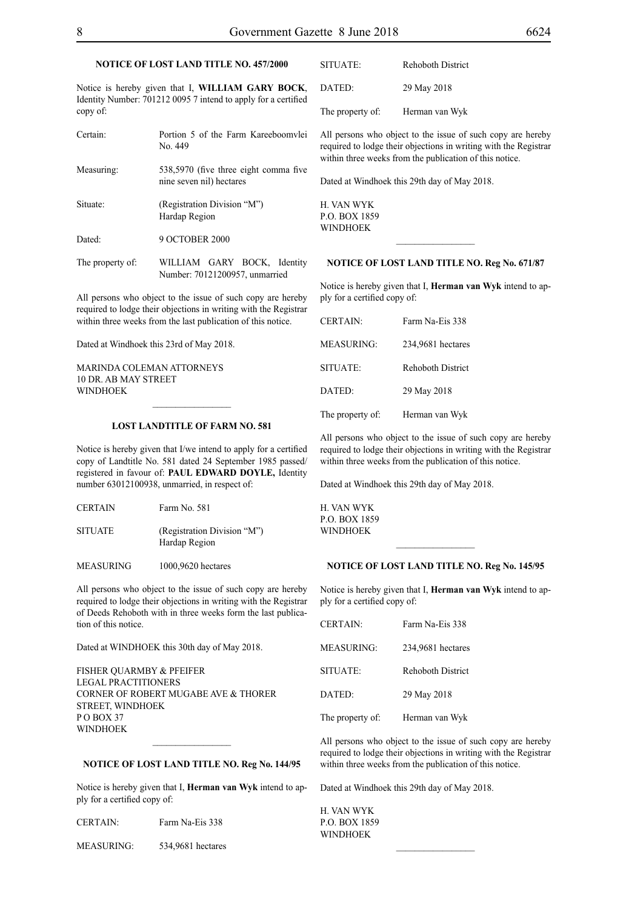# **NOTICE OF LOST LAND TITLE NO. 457/2000**

Notice is hereby given that I, **WILLIAM GARY BOCK**, Identity Number: 701212 0095 7 intend to apply for a certified copy of:

| Certain:         | Portion 5 of the Farm Kareeboomvlei<br>No. 449                    |
|------------------|-------------------------------------------------------------------|
| Measuring:       | 538,5970 (five three eight comma five<br>nine seven nil) hectares |
| Situate:         | (Registration Division "M")<br>Hardap Region                      |
| Dated:           | <b>9 OCTOBER 2000</b>                                             |
| The property of: | WILLIAM GARY BOCK, Identity<br>Number: 70121200957, unmarried     |

All persons who object to the issue of such copy are hereby required to lodge their objections in writing with the Registrar within three weeks from the last publication of this notice.

Dated at Windhoek this 23rd of May 2018.

Marinda Coleman Attorneys 10 Dr. AB May Street **WINDHOEK** 

#### **LOST LANDTITLE OF FARM NO. 581**

Notice is hereby given that I/we intend to apply for a certified copy of Landtitle No. 581 dated 24 September 1985 passed/ registered in favour of: **PAUL EDWARD DOYLE,** Identity number 63012100938, unmarried, in respect of:

| <b>CERTAIN</b> | Farm No. 581                                 |
|----------------|----------------------------------------------|
| <b>SITUATE</b> | (Registration Division "M")<br>Hardap Region |

MEASURING 1000,9620 hectares

All persons who object to the issue of such copy are hereby required to lodge their objections in writing with the Registrar of Deeds Rehoboth with in three weeks form the last publication of this notice.

Dated at WINDHOEK this 30th day of May 2018.

FISHER QUARMBY & PFEIFER Legal Practitioners Corner of Robert Mugabe Ave & Thorer Street, Windhoek  $P$  O BOX 37 **WINDHOEK** 

### **NOTICE OF LOST LAND TITLE NO. Reg No. 144/95**

 $\frac{1}{2}$ 

Notice is hereby given that I, **Herman van Wyk** intend to apply for a certified copy of:

| <b>CERTAIN:</b> | Farm Na-Eis 338 |
|-----------------|-----------------|
|-----------------|-----------------|

MEASURING: 534,9681 hectares

| SITUATE:         | <b>Rehoboth District</b> |
|------------------|--------------------------|
| DATED:           | 29 May 2018              |
| The property of: | Herman van Wyk           |

All persons who object to the issue of such copy are hereby required to lodge their objections in writing with the Registrar within three weeks from the publication of this notice.

Dated at Windhoek this 29th day of May 2018.

h. van wyk p.o. box 1859 **WINDHOEK** 

#### **NOTICE OF LOST LAND TITLE NO. Reg No. 671/87**

 $\frac{1}{2}$ 

Notice is hereby given that I, **Herman van Wyk** intend to apply for a certified copy of:

| <b>CERTAIN:</b>   | Farm Na-Eis 338          |
|-------------------|--------------------------|
| <b>MEASURING:</b> | 234,9681 hectares        |
| SITUATE:          | <b>Rehoboth District</b> |
| DATED:            | 29 May 2018              |
| The property of:  | Herman van Wyk           |

All persons who object to the issue of such copy are hereby required to lodge their objections in writing with the Registrar within three weeks from the publication of this notice.

Dated at Windhoek this 29th day of May 2018.

h. van wyk p.o. box 1859 **WINDHOEK** 

#### **NOTICE OF LOST LAND TITLE NO. Reg No. 145/95**

Notice is hereby given that I, **Herman van Wyk** intend to apply for a certified copy of:

| <b>CERTAIN:</b>   | Farm Na-Eis 338   |
|-------------------|-------------------|
| <b>MEASURING:</b> | 234,9681 hectares |
| SITUATE:          | Rehoboth District |
| DATED:            | 29 May 2018       |
| The property of:  | Herman van Wyk    |

All persons who object to the issue of such copy are hereby required to lodge their objections in writing with the Registrar within three weeks from the publication of this notice.

 $\frac{1}{2}$ 

Dated at Windhoek this 29th day of May 2018.

h. van wyk p.o. box 1859 windhoek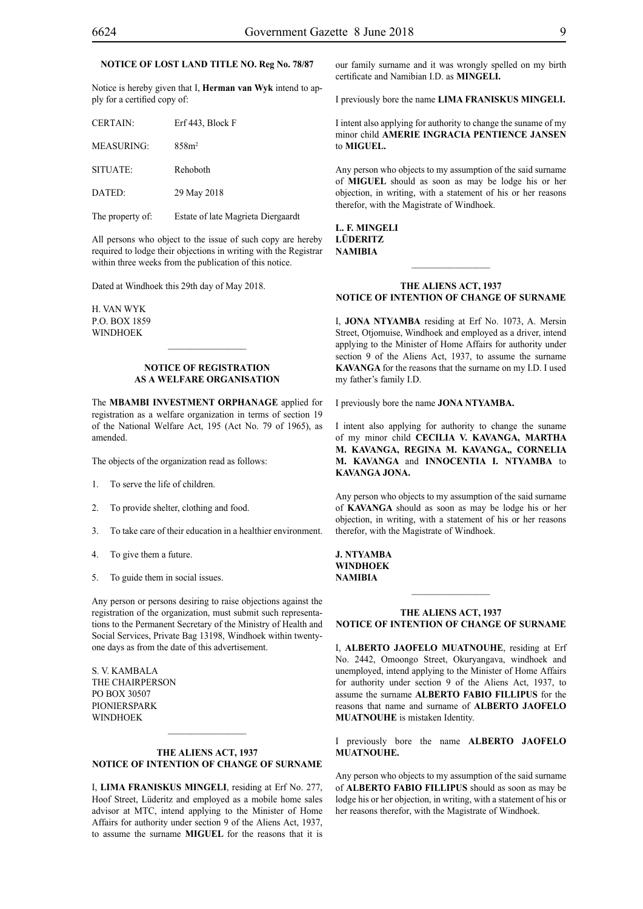# **NOTICE OF LOST LAND TITLE NO. Reg No. 78/87**

Notice is hereby given that I, **Herman van Wyk** intend to apply for a certified copy of:

| <b>CERTAIN:</b>   | Erf 443, Block F                   |
|-------------------|------------------------------------|
| <b>MEASURING:</b> | 858m <sup>2</sup>                  |
| SITUATE:          | Rehoboth                           |
| DATED:            | 29 May 2018                        |
| The property of:  | Estate of late Magrieta Diergaardt |

All persons who object to the issue of such copy are hereby required to lodge their objections in writing with the Registrar within three weeks from the publication of this notice.

Dated at Windhoek this 29th day of May 2018.

h. van wyk p.o. box 1859 **WINDHOEK** 

#### **NOTICE OF REGISTRATION AS A WELFARE ORGANISATION**

The **MBAMBI INVESTMENT ORPHANAGE** applied for registration as a welfare organization in terms of section 19 of the National Welfare Act, 195 (Act No. 79 of 1965), as amended.

The objects of the organization read as follows:

- 1. To serve the life of children.
- 2. To provide shelter, clothing and food.
- 3. To take care of their education in a healthier environment.
- 4. To give them a future.
- 5. To guide them in social issues.

Any person or persons desiring to raise objections against the registration of the organization, must submit such representations to the Permanent Secretary of the Ministry of Health and Social Services, Private Bag 13198, Windhoek within twentyone days as from the date of this advertisement.

S. V. KAMBALA The Chairperson PO Box 30507 PIONIERSPARK **WINDHOFK** 

#### **THE ALIENS ACT, 1937 NOTICE OF INTENTION OF CHANGE OF SURNAME**

 $\frac{1}{2}$ 

I, **lima franiskus mingeli**, residing at Erf No. 277, Hoof Street, Lüderitz and employed as a mobile home sales advisor at MTC, intend applying to the Minister of Home Affairs for authority under section 9 of the Aliens Act, 1937, to assume the surname **miguel** for the reasons that it is our family surname and it was wrongly spelled on my birth certificate and Namibian I.D. as **MINGELI.**

I previously bore the name **lima franiskus mingeli.**

I intent also applying for authority to change the suname of my minor child **AMERIE INGRACIA PENTIENCE JANSEN** to **miguel.**

Any person who objects to my assumption of the said surname of **miguel** should as soon as may be lodge his or her objection, in writing, with a statement of his or her reasons therefor, with the Magistrate of Windhoek.

**l. f. mingeli Lüderitz NAMIBIA**

#### **THE ALIENS ACT, 1937 NOTICE OF INTENTION OF CHANGE OF SURNAME**

 $\frac{1}{2}$ 

I, **jona ntyamba** residing at Erf No. 1073, A. Mersin Street, Otjomuise, Windhoek and employed as a driver, intend applying to the Minister of Home Affairs for authority under section 9 of the Aliens Act, 1937, to assume the surname **kavanga** for the reasons that the surname on my I.D. I used my father's family I.D.

I previously bore the name **jona ntyamba.**

I intent also applying for authority to change the suname of my minor child **Cecilia V. Kavanga, martha m. kavanga, regina m. kavanga,, cornelia m. kavanga** and **innocentia i. ntyamba** to **KAVANGA JONA.**

Any person who objects to my assumption of the said surname of **kavanga** should as soon as may be lodge his or her objection, in writing, with a statement of his or her reasons therefor, with the Magistrate of Windhoek.

**j. ntyamba windhoek NAMIBIA**

#### **THE ALIENS ACT, 1937 NOTICE OF INTENTION OF CHANGE OF SURNAME**

 $\frac{1}{2}$ 

I, **alberto jaofelo muatnouhe**, residing at Erf No. 2442, Omoongo Street, Okuryangava, windhoek and unemployed, intend applying to the Minister of Home Affairs for authority under section 9 of the Aliens Act, 1937, to assume the surname **alberto fabio fillipus** for the reasons that name and surname of **ALBERTO JAOFELO MUATNOUHE** is mistaken Identity.

I previously bore the name **alberto jaofelo muatnouhe.**

Any person who objects to my assumption of the said surname of **alberto fabio fillipus** should as soon as may be lodge his or her objection, in writing, with a statement of his or her reasons therefor, with the Magistrate of Windhoek.